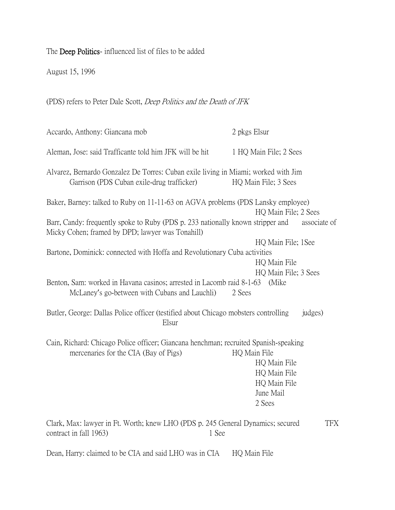The Deep Politics- influenced list of files to be added

August 15, 1996

(PDS) refers to Peter Dale Scott, Deep Politics and the Death of JFK

Accardo, Anthony: Giancana mob 2 pkgs Elsur Aleman, Jose: said Trafficante told him JFK will be hit 1 HQ Main File; 2 Sees Alvarez, Bernardo Gonzalez De Torres: Cuban exile living in Miami; worked with Jim Garrison (PDS Cuban exile-drug trafficker) HQ Main File; 3 Sees Baker, Barney: talked to Ruby on 11-11-63 on AGVA problems (PDS Lansky employee) HQ Main File; 2 Sees Barr, Candy: frequently spoke to Ruby (PDS p. 233 nationally known stripper and associate of Micky Cohen; framed by DPD; lawyer was Tonahill) HQ Main File; 1See Bartone, Dominick: connected with Hoffa and Revolutionary Cuba activities HQ Main File HQ Main File; 3 Sees Benton, Sam: worked in Havana casinos; arrested in Lacomb raid 8-1-63 (Mike McLaney's go-between with Cubans and Lauchli) 2 Sees Butler, George: Dallas Police officer (testified about Chicago mobsters controlling judges) Elsur Cain, Richard: Chicago Police officer; Giancana henchman; recruited Spanish-speaking mercenaries for the CIA (Bay of Pigs) HQ Main File HQ Main File HQ Main File HQ Main File June Mail 2 Sees Clark, Max: lawyer in Ft. Worth; knew LHO (PDS p. 245 General Dynamics; secured TFX contract in fall 1963) 21 See

Dean, Harry: claimed to be CIA and said LHO was in CIA HQ Main File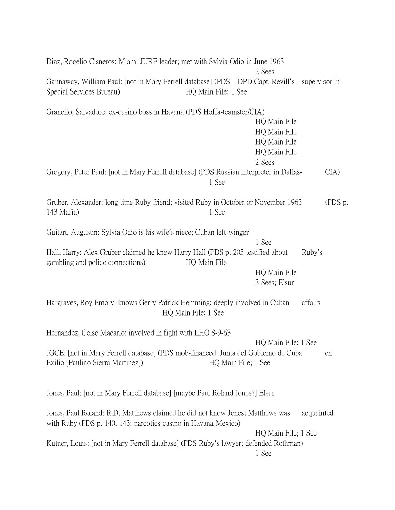| Diaz, Rogelio Cisneros: Miami JURE leader; met with Sylvia Odio in June 1963                                                                                                           |                     | 2 Sees                                                                 |                     |         |
|----------------------------------------------------------------------------------------------------------------------------------------------------------------------------------------|---------------------|------------------------------------------------------------------------|---------------------|---------|
| Gannaway, William Paul: [not in Mary Ferrell database] (PDS DPD Capt. Revill's supervisor in<br>Special Services Bureau)                                                               | HQ Main File; 1 See |                                                                        |                     |         |
| Granello, Salvadore: ex-casino boss in Havana (PDS Hoffa-teamster/CIA)                                                                                                                 |                     | HQ Main File<br>HQ Main File<br>HQ Main File<br>HQ Main File<br>2 Sees |                     |         |
| Gregory, Peter Paul: [not in Mary Ferrell database] (PDS Russian interpreter in Dallas-                                                                                                | 1 See               |                                                                        |                     | CIA     |
| Gruber, Alexander: long time Ruby friend; visited Ruby in October or November 1963<br>143 Mafia)                                                                                       | 1 See               |                                                                        |                     | (PDS p. |
| Guitart, Augustin: Sylvia Odio is his wife's niece; Cuban left-winger                                                                                                                  |                     |                                                                        |                     |         |
| Hall, Harry: Alex Gruber claimed he knew Harry Hall (PDS p. 205 testified about<br>gambling and police connections)                                                                    | HQ Main File        | 1 See<br>HQ Main File<br>3 Sees; Elsur                                 | Ruby's              |         |
| Hargraves, Roy Emory: knows Gerry Patrick Hemming; deeply involved in Cuban<br>HQ Main File; 1 See                                                                                     |                     |                                                                        | affairs             |         |
| Hernandez, Celso Macario: involved in fight with LHO 8-9-63<br>JGCE: [not in Mary Ferrell database] (PDS mob-financed: Junta del Gobierno de Cuba<br>Exilio [Paulino Sierra Martinez]) |                     | HQ Main File; 1 See                                                    | HQ Main File; 1 See | en      |
| Jones, Paul: [not in Mary Ferrell database] [maybe Paul Roland Jones?] Elsur                                                                                                           |                     |                                                                        |                     |         |
| Jones, Paul Roland: R.D. Matthews claimed he did not know Jones; Matthews was<br>with Ruby (PDS p. 140, 143: narcotics-casino in Havana-Mexico)                                        |                     | HQ Main File; 1 See                                                    | acquainted          |         |
| Kutner, Louis: [not in Mary Ferrell database] (PDS Ruby's lawyer; defended Rothman)                                                                                                    |                     | 1 See                                                                  |                     |         |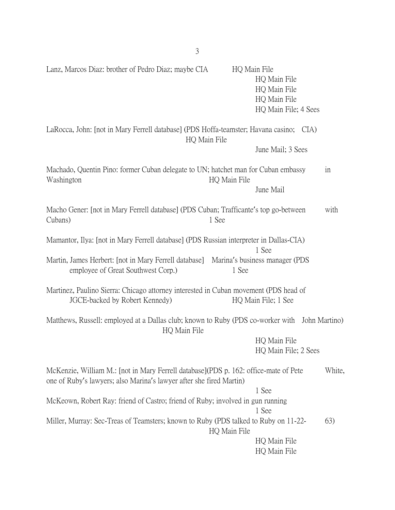Lanz, Marcos Diaz: brother of Pedro Diaz; maybe CIA HQ Main File HQ Main File HQ Main File HQ Main File HQ Main File; 4 Sees LaRocca, John: [not in Mary Ferrell database] (PDS Hoffa-teamster; Havana casino; CIA) HQ Main File June Mail; 3 Sees Machado, Quentin Pino: former Cuban delegate to UN; hatchet man for Cuban embassy in Washington **HQ** Main File June Mail Macho Gener: [not in Mary Ferrell database] (PDS Cuban; Trafficante's top go-between with Cubans) 1 See Mamantor, Ilya: [not in Mary Ferrell database] (PDS Russian interpreter in Dallas-CIA) 1 See Martin, James Herbert: [not in Mary Ferrell database] Marina's business manager (PDS employee of Great Southwest Corp.) 1 See Martinez, Paulino Sierra: Chicago attorney interested in Cuban movement (PDS head of JGCE-backed by Robert Kennedy) HQ Main File; 1 See Matthews, Russell: employed at a Dallas club; known to Ruby (PDS co-worker with John Martino) HQ Main File HQ Main File HQ Main File; 2 Sees McKenzie, William M.: [not in Mary Ferrell database](PDS p. 162: office-mate of Pete White, one of Ruby's lawyers; also Marina's lawyer after she fired Martin) 1 See McKeown, Robert Ray: friend of Castro; friend of Ruby; involved in gun running 1 See Miller, Murray: Sec-Treas of Teamsters; known to Ruby (PDS talked to Ruby on 11-22- 63) HQ Main File HQ Main File HQ Main File

3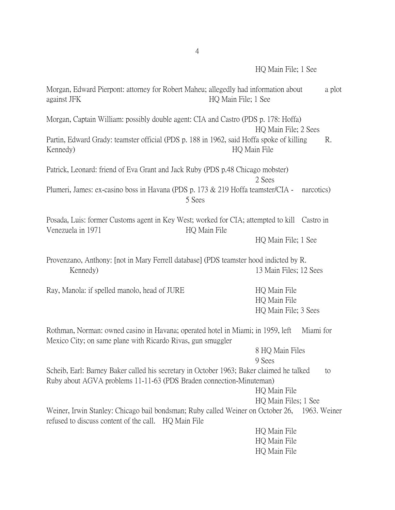| Morgan, Edward Pierpont: attorney for Robert Maheu; allegedly had information about<br>against JFK                                                              | HQ Main File; 1 See                                                                                         |    |  |
|-----------------------------------------------------------------------------------------------------------------------------------------------------------------|-------------------------------------------------------------------------------------------------------------|----|--|
| Morgan, Captain William: possibly double agent: CIA and Castro (PDS p. 178: Hoffa)                                                                              | HQ Main File; 2 Sees                                                                                        |    |  |
| Partin, Edward Grady: teamster official (PDS p. 188 in 1962, said Hoffa spoke of killing<br>Kennedy)                                                            | HQ Main File                                                                                                | R. |  |
| Patrick, Leonard: friend of Eva Grant and Jack Ruby (PDS p.48 Chicago mobster)                                                                                  | 2 Sees                                                                                                      |    |  |
| Plumeri, James: ex-casino boss in Havana (PDS p. 173 & 219 Hoffa teamster/CIA -                                                                                 | narcotics)<br>5 Sees                                                                                        |    |  |
| Venezuela in 1971                                                                                                                                               | Posada, Luis: former Customs agent in Key West; worked for CIA; attempted to kill Castro in<br>HQ Main File |    |  |
|                                                                                                                                                                 | HQ Main File; 1 See                                                                                         |    |  |
| Provenzano, Anthony: [not in Mary Ferrell database] (PDS teamster hood indicted by R.<br>Kennedy)                                                               | 13 Main Files; 12 Sees                                                                                      |    |  |
| Ray, Manola: if spelled manolo, head of JURE                                                                                                                    | HQ Main File                                                                                                |    |  |
|                                                                                                                                                                 | HQ Main File                                                                                                |    |  |
|                                                                                                                                                                 | HQ Main File; 3 Sees                                                                                        |    |  |
| Rothman, Norman: owned casino in Havana; operated hotel in Miami; in 1959, left<br>Mexico City; on same plane with Ricardo Rivas, gun smuggler                  | Miami for                                                                                                   |    |  |
|                                                                                                                                                                 | 8 HQ Main Files<br>9 Sees                                                                                   |    |  |
| Scheib, Earl: Barney Baker called his secretary in October 1963; Baker claimed he talked<br>Ruby about AGVA problems 11-11-63 (PDS Braden connection-Minuteman) |                                                                                                             | to |  |
|                                                                                                                                                                 | HQ Main File                                                                                                |    |  |
|                                                                                                                                                                 | HQ Main Files; 1 See                                                                                        |    |  |
| refused to discuss content of the call. HQ Main File                                                                                                            | Weiner, Irwin Stanley: Chicago bail bondsman; Ruby called Weiner on October 26, 1963. Weiner                |    |  |
|                                                                                                                                                                 | HQ Main File                                                                                                |    |  |
|                                                                                                                                                                 | HQ Main File                                                                                                |    |  |
|                                                                                                                                                                 | HQ Main File                                                                                                |    |  |